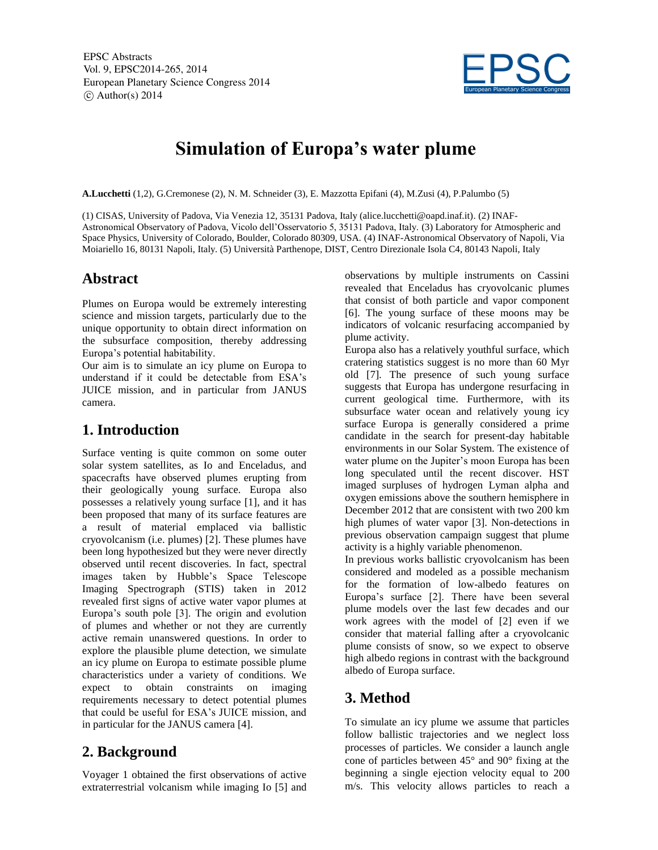EPSC Abstracts Vol. 9, EPSC2014-265, 2014 European Planetary Science Congress 2014  $\circ$  Author(s) 2014



# **Simulation of Europa's water plume**

**A.Lucchetti** (1,2), G.Cremonese (2), N. M. Schneider (3), E. Mazzotta Epifani (4), M.Zusi (4), P.Palumbo (5)

(1) CISAS, University of Padova, Via Venezia 12, 35131 Padova, Italy (alice.lucchetti@oapd.inaf.it). (2) INAF-Astronomical Observatory of Padova, Vicolo dell'Osservatorio 5, 35131 Padova, Italy. (3) Laboratory for Atmospheric and Space Physics, University of Colorado, Boulder, Colorado 80309, USA. (4) INAF-Astronomical Observatory of Napoli, Via Moiariello 16, 80131 Napoli, Italy. (5) Università Parthenope, DIST, Centro Direzionale Isola C4, 80143 Napoli, Italy

### **Abstract**

Plumes on Europa would be extremely interesting science and mission targets, particularly due to the unique opportunity to obtain direct information on the subsurface composition, thereby addressing Europa's potential habitability.

Our aim is to simulate an icy plume on Europa to understand if it could be detectable from ESA's JUICE mission, and in particular from JANUS camera.

# **1. Introduction**

Surface venting is quite common on some outer solar system satellites, as Io and Enceladus, and spacecrafts have observed plumes erupting from their geologically young surface. Europa also possesses a relatively young surface [1], and it has been proposed that many of its surface features are a result of material emplaced via ballistic cryovolcanism (i.e. plumes) [2]. These plumes have been long hypothesized but they were never directly observed until recent discoveries. In fact, spectral images taken by Hubble's Space Telescope Imaging Spectrograph (STIS) taken in 2012 revealed first signs of active water vapor plumes at Europa's south pole [3]. The origin and evolution of plumes and whether or not they are currently active remain unanswered questions. In order to explore the plausible plume detection, we simulate an icy plume on Europa to estimate possible plume characteristics under a variety of conditions. We expect to obtain constraints on imaging requirements necessary to detect potential plumes that could be useful for ESA's JUICE mission, and in particular for the JANUS camera [4].

### **2. Background**

Voyager 1 obtained the first observations of active extraterrestrial volcanism while imaging Io [5] and observations by multiple instruments on Cassini revealed that Enceladus has cryovolcanic plumes that consist of both particle and vapor component [6]. The young surface of these moons may be indicators of volcanic resurfacing accompanied by plume activity.

Europa also has a relatively youthful surface, which cratering statistics suggest is no more than 60 Myr old [7]. The presence of such young surface suggests that Europa has undergone resurfacing in current geological time. Furthermore, with its subsurface water ocean and relatively young icy surface Europa is generally considered a prime candidate in the search for present-day habitable environments in our Solar System. The existence of water plume on the Jupiter's moon Europa has been long speculated until the recent discover. HST imaged surpluses of hydrogen Lyman alpha and oxygen emissions above the southern hemisphere in December 2012 that are consistent with two 200 km high plumes of water vapor [3]. Non-detections in previous observation campaign suggest that plume activity is a highly variable phenomenon.

In previous works ballistic cryovolcanism has been considered and modeled as a possible mechanism for the formation of low-albedo features on Europa's surface [2]. There have been several plume models over the last few decades and our work agrees with the model of [2] even if we consider that material falling after a cryovolcanic plume consists of snow, so we expect to observe high albedo regions in contrast with the background albedo of Europa surface.

# **3. Method**

To simulate an icy plume we assume that particles follow ballistic trajectories and we neglect loss processes of particles. We consider a launch angle cone of particles between 45° and 90° fixing at the beginning a single ejection velocity equal to 200 m/s. This velocity allows particles to reach a